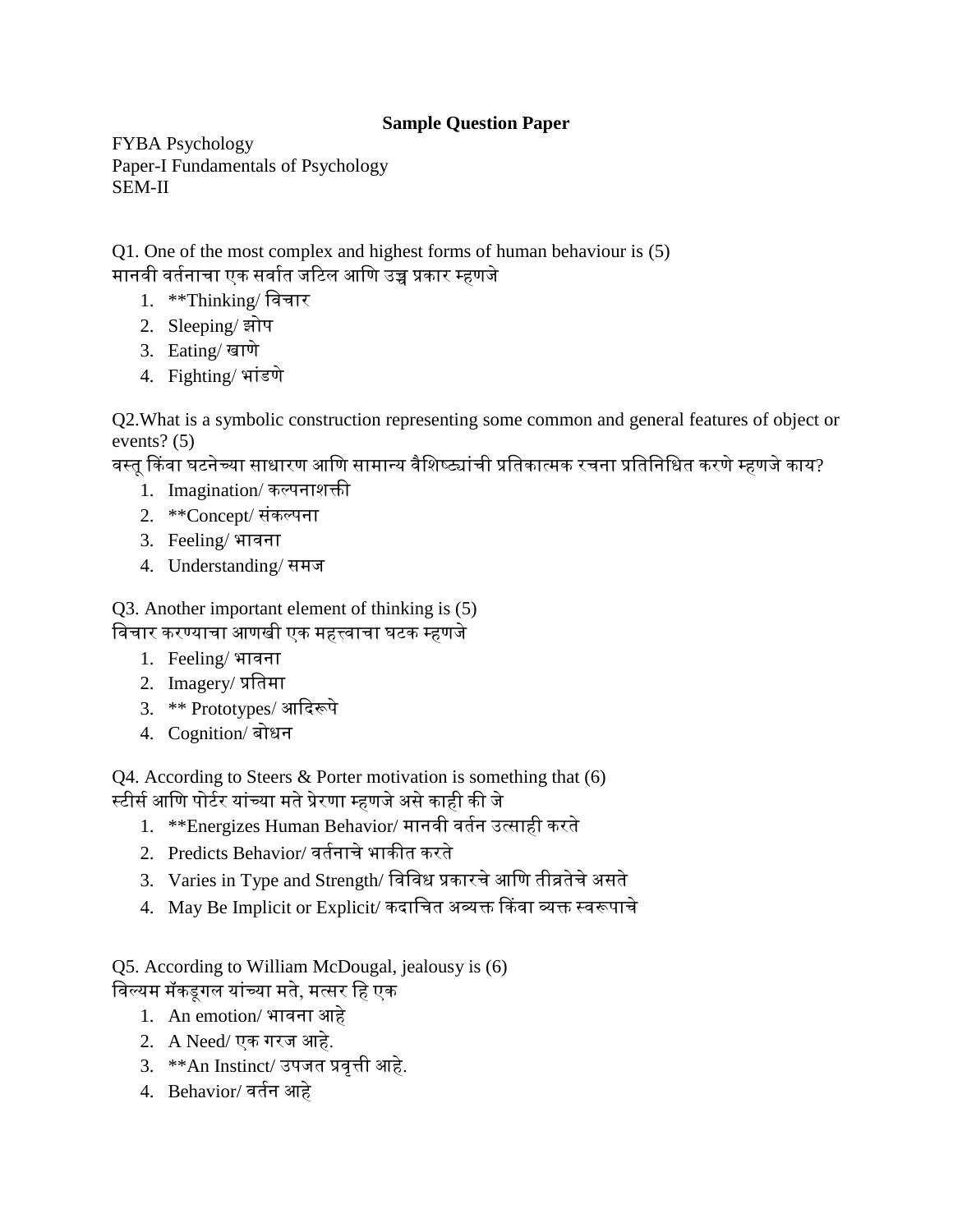## **Sample Question Paper**

FYBA Psychology Paper-I Fundamentals of Psychology SEM-II

Q1. One of the most complex and highest forms of human behaviour is (5) मानवी वर्तनाचा एक सर्वात जटिल आणि उच्च प्रकार म्हणजे

- 1. \*\*Thinking/ णवचार
- 2. Sleeping/ झोप
- 3. Eating/ खाणे
- 4. Fighting/भांडणे

Q2.What is a symbolic construction representing some common and general features of object or events? (5)

वस्तु किंवा घटनेच्या साधारण आणि सामान्य वैशिष्ट्यांची प्रतिकात्मक रचना प्रतिनिधित करणे म्हणजे काय?

- 1. Imagination/ कल्पनाशक्ती
- 2. \*\*Concept/ सांकल्पना
- 3. Feeling/ भावना
- 4. Understanding/ समज

Q3. Another important element of thinking is (5) णवचार करण्याचा आणखी एक महत्त्वाचा घिक म्हणजे

- 1. Feeling/ भावना
- 2. Imagery/ प्रणतमा
- 3. \*\* Prototypes/ आददरूपे
- 4. Cognition/ बोधन

Q4. According to Steers & Porter motivation is something that (6) स्टीर्स आणि पोर्टर यांच्या मते प्रेरणा म्हणजे असे काही की जे

- 1. \*\*Energizes Human Behavior/ मानवी वततन उत्साही करते
- 2. Predicts Behavior/ वर्तनाचे भाकीत करते
- 3. Varies in Type and Strength/ विविध प्रकारचे आणि तीव्रतेचे असते
- 4. May Be Implicit or Explicit/ कदाणचत अव्यक्त ककवा व्यक्त स्वरूपाचे

Q5. According to William McDougal, jealousy is (6)

- विल्यम मॅकडूगल यांच्या मते, मत्सर हि एक
	- 1. An emotion/ भावना आहे
	- 2. A Need/ एक गरज आहे.
	- 3. \*\*An Instinct/ उपजत प्रवृत्ती आहे.
	- 4. Behavior/ वततन आहे